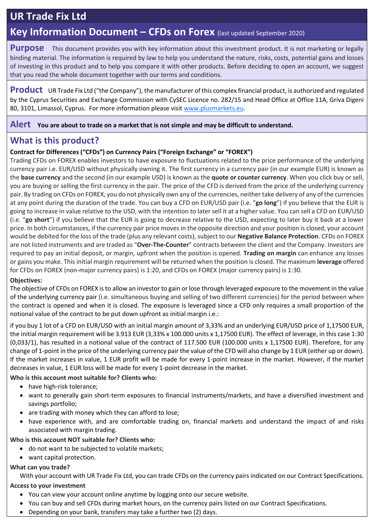# **UR Trade Fix Ltd**

# **Key Information Document – CFDs on Forex** (last updated September 2020)

**Purpose** This document provides you with key information about this investment product. It is not marketing or legally binding material. The information is required by law to help you understand the nature, risks, costs, potential gains and losses of investing in this product and to help you compare it with other products. Before deciding to open an account, we suggest that you read the whole document together with our terms and conditions.

**Product** UR Trade Fix Ltd ("the Company"), the manufacturer of this complex financial product, is authorized and regulated by the Cyprus Securities and Exchange Commission with CySEC Licence no. 282/15 and Head Office at Office 11A, Griva Digeni 80, 3101, Limassol, Cyprus. For more information please visi[t www.plusmarkets.eu.](http://www.plusmarkets.eu/)

#### **Alert You are about to trade on a market that is not simple and may be difficult to understand.**

# **What is this product?**

### **Contract for Differences ("CFDs") on Currency Pairs ("Foreign Exchange" or "FOREX")**

Trading CFDs on FOREX enables investors to have exposure to fluctuations related to the price performance of the underlying currency pair i.e. EUR/USD without physically owning it. The first currency in a currency pair (in our example EUR) is known as the **base currency** and the second (in our example USD) is known as the **quote or counter currency**. When you click buy or sell, you are buying or selling the first currency in the pair. The price of the CFD is derived from the price of the underlying currency pair. By trading on CFDs on FOREX, you do not physically own any of the currencies, neither take delivery of any of the currencies at any point during the duration of the trade. You can buy a CFD on EUR/USD pair (i.e. "**go long**") if you believe that the EUR is going to increase in value relative to the USD, with the intention to later sell it at a higher value. You can sell a CFD on EUR/USD (i.e. "**go short**") if you believe that the EUR is going to decrease relative to the USD, expecting to later buy it back at a lower price. In both circumstances, if the currency pair price moves in the opposite direction and your position is closed, your account would be debited for the loss of the trade (plus any relevant costs), subject to our **Negative Balance Protection**. CFDs on FOREX are not listed instruments and are traded as "**Over-The-Counter**" contracts between the client and the Company. Investors are required to pay an initial deposit, or margin, upfront when the position is opened. **Trading on margin** can enhance any losses or gains you make. This initial margin requirement will be returned when the position is closed. The maximum **leverage** offered for CFDs on FOREX (non-major currency pairs) is 1:20, and CFDs on FOREX (major currency pairs) is 1:30.

#### **Objectives:**

The objective of CFDs on FOREX is to allow an investor to gain or lose through leveraged exposure to the movement in the value of the underlying currency pair (i.e. simultaneous buying and selling of two different currencies) for the period between when the contract is opened and when it is closed. The exposure is leveraged since a CFD only requires a small proportion of the notional value of the contract to be put down upfront as initial margin i.e.:

if you buy 1 lot of a CFD on EUR/USD with an initial margin amount of 3,33% and an underlying EUR/USD price of 1,17500 EUR, the initial margin requirement will be 3.913 EUR (3,33% x 100.000 units x 1,17500 EUR). The effect of leverage, in this case 1:30 (0,033/1), has resulted in a notional value of the contract of 117.500 EUR (100.000 units x 1,17500 EUR). Therefore, for any change of 1-point in the price of the underlying currency pair the value of the CFD will also change by 1 EUR (either up or down). If the market increases in value, 1 EUR profit will be made for every 1-point increase in the market. However, if the market decreases in value, 1 EUR loss will be made for every 1-point decrease in the market.

#### **Who is this account most suitable for? Clients who:**

- have high-risk tolerance;
- want to generally gain short-term exposures to financial instruments/markets, and have a diversified investment and savings portfolio;
- are trading with money which they can afford to lose:
- have experience with, and are comfortable trading on, financial markets and understand the impact of and risks associated with margin trading.
- **Who is this account NOT suitable for? Clients who:**
	- do not want to be subjected to volatile markets;
	- want capital protection.

#### **What can you trade?**

With your account with UR Trade Fix Ltd, you can trade CFDs on the currency pairs indicated on our Contract Specifications.

#### **Access to your investment**

- You can view your account online anytime by logging onto our secure website.
- You can buy and sell CFDs during market hours, on the currency pairs listed on our Contract Specifications.
- Depending on your bank, transfers may take a further two (2) days.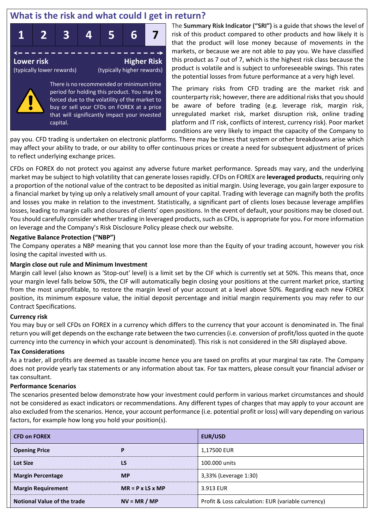# **What is the risk and what could I get in return?**



There is no recommended or minimum time period for holding this product. You may be forced due to the volatility of the market to buy or sell your CFDs on FOREX at a price that will significantly impact your invested capital.

The **Summary Risk Indicator ("SRI")** is a guide that shows the level of risk of this product compared to other products and how likely it is that the product will lose money because of movements in the markets, or because we are not able to pay you. We have classified this product as 7 out of 7, which is the highest risk class because the product is volatile and is subject to unforeseeable swings. This rates the potential losses from future performance at a very high level.

The primary risks from CFD trading are the market risk and counterparty risk; however, there are additional risks that you should be aware of before trading (e.g. leverage risk, margin risk, unregulated market risk, market disruption risk, online trading platform and IT risk, conflicts of interest, currency risk). Poor market conditions are very likely to impact the capacity of the Company to

pay you. CFD trading is undertaken on electronic platforms. There may be times that system or other breakdowns arise which may affect your ability to trade, or our ability to offer continuous prices or create a need for subsequent adjustment of prices to reflect underlying exchange prices.

CFDs on FOREX do not protect you against any adverse future market performance. Spreads may vary, and the underlying market may be subject to high volatility that can generate losses rapidly. CFDs on FOREX are **leveraged products**, requiring only a proportion of the notional value of the contract to be deposited as initial margin. Using leverage, you gain larger exposure to a financial market by tying up only a relatively small amount of your capital. Trading with leverage can magnify both the profits and losses you make in relation to the investment. Statistically, a significant part of clients loses because leverage amplifies losses, leading to margin calls and closures of clients' open positions. In the event of default, your positions may be closed out. You should carefully consider whether trading in leveraged products, such as CFDs, is appropriate for you. For more information on leverage and the Company's Risk Disclosure Policy please check our website.

#### **Negative Balance Protection ("NBP")**

The Company operates a NBP meaning that you cannot lose more than the Equity of your trading account, however you risk losing the capital invested with us.

#### **Margin close out rule and Minimum Investment**

Margin call level (also known as 'Stop-out' level) is a limit set by the CIF which is currently set at 50%. This means that, once your margin level falls below 50%, the CIF will automatically begin closing your positions at the current market price, starting from the most unprofitable, to restore the margin level of your account at a level above 50%. Regarding each new FOREX position, its minimum exposure value, the initial deposit percentage and initial margin requirements you may refer to our Contract Specifications.

#### **Currency risk**

You may buy or sell CFDs on FOREX in a currency which differs to the currency that your account is denominated in. The final return you will get depends on the exchange rate between the two currencies (i.e. conversion of profit/loss quoted in the quote currency into the currency in which your account is denominated). This risk is not considered in the SRI displayed above.

#### **Tax Considerations**

As a trader, all profits are deemed as taxable income hence you are taxed on profits at your marginal tax rate. The Company does not provide yearly tax statements or any information about tax. For tax matters, please consult your financial adviser or tax consultant.

#### **Performance Scenarios**

The scenarios presented below demonstrate how your investment could perform in various market circumstances and should not be considered as exact indicators or recommendations. Any different types of charges that may apply to your account are also excluded from the scenarios. Hence, your account performance (i.e. potential profit or loss) will vary depending on various factors, for example how long you hold your position(s).

| <b>CFD on FOREX</b>                             |                | <b>EUR/USD</b>                                     |  |  |
|-------------------------------------------------|----------------|----------------------------------------------------|--|--|
| <b>Opening Price</b>                            |                | 1,17500 EUR                                        |  |  |
| <b>Lot Size</b>                                 | LS             | 100.000 units                                      |  |  |
| <b>Margin Percentage</b>                        | <b>MP</b>      | 3,33% (Leverage 1:30)                              |  |  |
| <b>Margin Requirement</b><br>$MR = P x LS x MP$ |                | 3.913 EUR                                          |  |  |
| <b>Notional Value of the trade</b>              | $NV = MR / MP$ | Profit & Loss calculation: EUR (variable currency) |  |  |